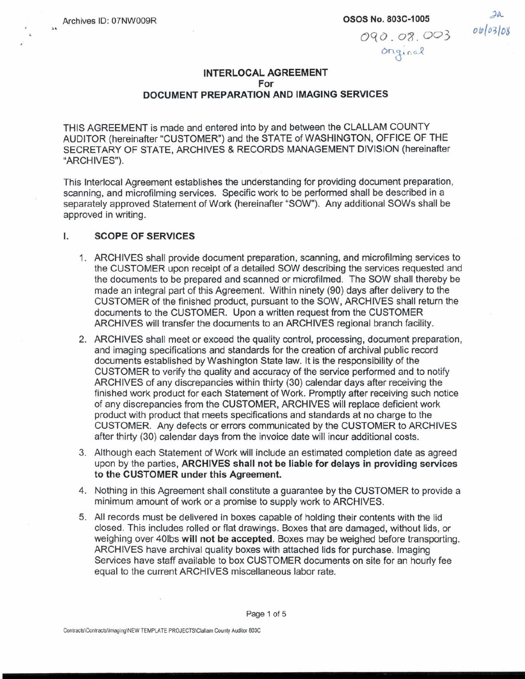## INTERLOCAL AGREEMENT For DOCUMENT PREPARATION AND IMAGING SERVICES

THIS AGREEMENT is made and entered into by and between the CLALLAM COUNTY AUDITOR (hereinafter "CUSTOMER") and the STATE of WASHINGTON, OFFICE OF THE SECRETARY OF STATE, ARCHIVES & RECORDS MANAGEMENT DIVISION (hereinafter "ARCHIVES").

This Interlocal Agreement establishes the understanding for providing document preparation, scanning, and microfilming services. Specific work to be performed shall be described in a separately approved Statement of Work (hereinafter "SOW"). Any additional SOWS shall be approved in writing.

#### Ī. SCOPE OF SERVICES

- 1. ARCHIVES shall provide document preparation, scanning, and microfilming services to the CUSTOMER upon receipt of a detailed SOW describing the services requested and the documents to be prepared and scanned or microfilmed. The SOW shall thereby be made an integral part of this Agreement. Within ninety (90) days after delivery to the CUSTOMER of the finished product, pursuant to the SOW, ARCHIVES shall return the documents to the CUSTOMER. Upon a written request from the CUSTOMER ARCHIVES will transfer the documents to an ARCHIVES regional branch facility.
- ARCHIVES shall meet or exceed the quality control, processing, document preparation, and imaging specifications and standards for the creation of archival public record documents established by Washington State law. It is the responsibility of the CUSTOMER to verify the quality and accuracy of the service performed and to notify ARCHIVES of any discrepancies within thirty (30) calendar days after receiving the finished work product for each Statement of Work. Promptly after receiving such notice of any discrepancies from the CUSTOMER, ARCHIVES will replace deficient work product with product that meets specifications and standards at no charge to the CUSTOMER. Any defects or errors communicated by the CUSTOMER to ARCHIVES after thirty (30) calendar days from the invaice date will incur additional costs.
- Although each Statement of Work will include an estimated completion date as agreed upon by the parties, ARCHIVES shall not be liable for delays in providing services to the CUSTOMER under this Agreement.
- 4. Nothing in this Agreement shall constitute a guarantee by the CUSTOMER to provide a minimum amount of work or a promise to supply work to ARCHIVES.
- 5. All records must be delivered in boxes capable of holding their contents with the lid closed. This includes rolled or flat drawings. Boxes that are damaged, without lids, or weighing over 40lbs will not be accepted. Boxes may be weighed before transporting. ARCHIVES have archival quality boxes with attached lids for purchase. Imaging Services have staff available to box CUSTOMER documents on site for an hourly fee equal to the current ARCHIVES miscellaneous labor rate.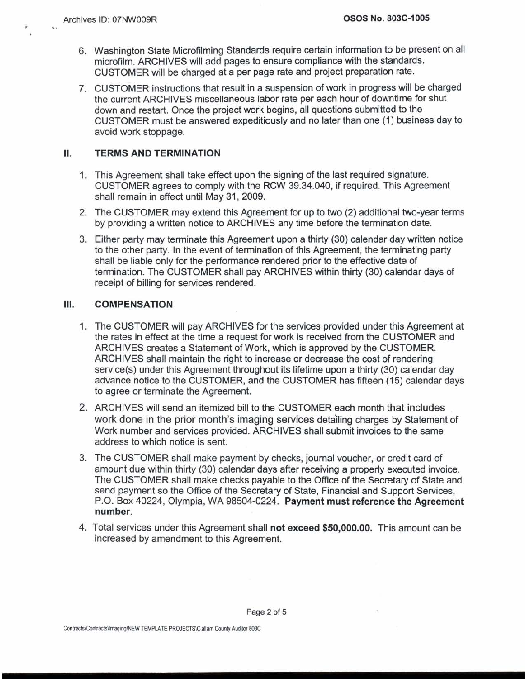- 6. Washington State Microfilming Standards require certain information to be present on all microfilm. ARCHIVES will add pages to ensure compliance with the standards. CUSTOMER will be charged at a per page rate and project preparation rate.
- 7. CUSTOMER instructions that result in a suspension of work in progress will be charged the current ARCHIVES miscellaneous labor rate per each hour of downtime for shut down and restart. Once the project work begins, all questions submitted to the CUSTOMER must be answered expeditiously and no later than one (1) business day to avoid work stoppage.

#### II. TERMS AND TERMINATION

- 1. This Agreement shall take effect upon the signing of the last required signature. CUSTOMER agrees to comply with the RCW 39.34.040, if required. This Agreement shall remain in effect until May 31, 2009.
- 2. The CUSTOMER may extend this Agreement for up to two (2) additional two-year terms by providing a written notice to ARCHIVES any time before the termination date.
- 3. Either party may terminate this Agreement upon a thirty (30) calendar day written notice to the other party. In the event of termination of this Agreement, the terminating party shall be liable only for the performance rendered prior to the effective date of termination. The CUSTOMER shall pay ARCHIVES within thirty (30) calendar days of receipt of billing for services rendered.

### Ш. **COMPENSATION**

- 1. The CUSTOMER will pay ARCHIVES for the services provided under this Agreement at the rates in effect at the time a request for work is received from the CUSTOMER and ARCHIVES creates a Statement of Work, which is approved by the CUSTOMER. ARCHIVES shall maintain the right to increase or decrease the cost of rendering service(s) under this Agreement throughout its lifetime upon a thirty (30) calendar day advance notice to the CUSTOMER, and the CUSTOMER has fifteen (15) calendar days to agree or terminate the Agreement.
- ARCHIVES will send an itemized bill to the CUSTOMER each month that includes work done in the prior month's imaging services deta'iling charges by Statement of Work number and services provided. ARCHIVES shall submit invoices to the same address to which notice is sent.
- The CUSTOMER shall make payment by checks, journal voucher, or credit card of amount due within thirty (30) calendar days after receiving a properly executed invoice. The CUSTOMER shall make checks payable to the Office of the Secretary of State and send payment so the Office of the Secretary of State, Financial and Support Services, P.O. Box 40224, Olympia, WA 98504-0224. Payment must reference the Agreement number.
- Total services under this Agreement shall not exceed **\$50,000.00.** This amount can be increased by amendment to this Agreement.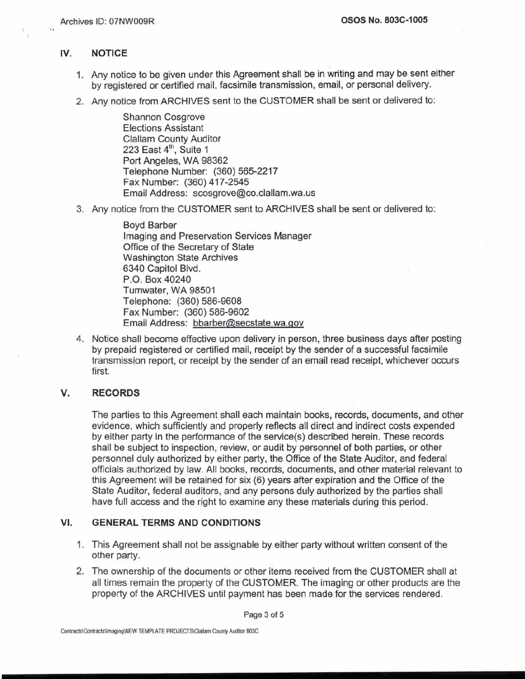# IV. NOTICE

 $\sqrt{2}$ 

- 1. Any notice to be given under this Agreement shall be in writing and may be sent either by registered or certified mail, facsimile transmission, email, or personal delivery.
- 2. Any notice from ARCHIVES sent to the CUSTOMER shall be sent or delivered to:

Shannon Cosgrove Elections Assistant Clallam County Auditor 223 East 4'h, Suite 1 Port Angeles, WA 98362 Telephone Number: (360) 565-221 **7**  Fax Number: (360) 417-2545 Email Address: scosgrove@co.clallam.wa.us

3. Any notice from the CUSTOMER sent to ARCHIVES shall be sent or delivered to:

Boyd Barber Imaging and Preservation Services Manager Office of the Secretary of State Washington State Archives 6340 Capitol Blvd. P.O. Box 40240 Turnwater, WA 98501 Telephone: (360) 586-9608 Fax Number: (360) 586-9602 Email Address: bbarber@secstate.wa.gov

4. Notice shall become effective upon delivery in person, three business days after posting by prepaid registered or certified mail, receipt by the sender of a successful facsimile transmission report, or receipt by the sender of an email read receipt, whichever occurs first.

## V. RECORDS

The parties to this Agreement shall each maintain books, records, documents, and other evidence, which sufficiently and properly reflects all direct and indirect costs expended by either party in the performance of the service(s) described herein. These records shall be subject to inspection, review, or audit by personnel of both parties, or other personnel duly authorized by either party, the Office of the State Auditor, and federal officials authorized by law. All books, records, documents, and other material relevant to this Agreement will be retained for six (6) years after expiration and the Office of the State Auditor, federal auditors, and any persons duly authorized by the parties shall have full access and the right to examine any these materials during this period.

# VI. GENERAL TERMS AND CONDITIONS

- 1. This Agreement shall not be assignable by either party without written consent of the other party.
- 2. The ownership of the documents or other items received from the CUSTOMER shall at all times remain the property of the CUSTOMER. The imaging or other products are the property of the ARCHIVES until payment has been made for the services rendered.

Page **3 of 5**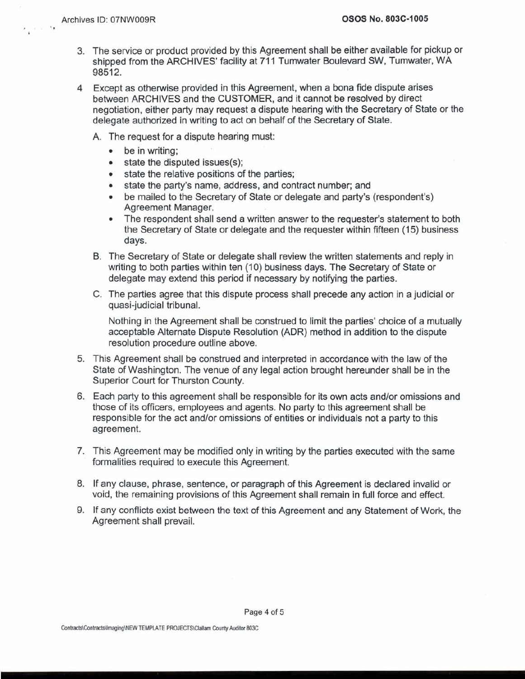- 3. The service or product provided by this Agreement shall be either available for pickup or shipped from the ARCHIVES' facility at 711 Tumwater Boulevard SW, Tumwater, WA 98512.
- 4 Except as otherwise provided in this Agreement, when a bona fide dispute arises between ARCHIVES and the CUSTOMER, and it cannot be resolved by direct negotiation, either party may request a dispute hearing with the Secretary of State or the delegate authorized in writing to act on behalf of the Secretary of State.
	- A. The request for a dispute hearing must:
		- $\bullet$ be in writing;
		- state the disputed issues(s);
		- state the relative positions of the parties;  $\bullet$
		- state the party's name, address, and contract number; and  $\bullet$
		- be mailed to the Secretary of State or delegate and party's (respondent's)  $\bullet$ Agreement Manager.
		- The respondent shall send a written answer to the requester's statement to both  $\bullet$ the Secretary of State or delegate and the requester within fifteen (15) business days.
	- B. The Secretary of State or delegate shall review the written statements and reply in writing to both parties within ten (10) business days. The Secretary of State or delegate may extend this period if necessary by notifying the parties.
	- C. The parties agree that this dispute process shall precede any action in a judicial or quasi-judicial tribunal.

Nothing in the Agreement shall be construed to limit the parties' choice of a mutually acceptable Alternate Dispute Resolution (ADR) method in addition to the dispute resolution procedure outline above.

- 5. This Agreement shall'be construed and interpreted in accordance with the law of the State of Washington. The venue of any legal action brought hereunder shall be in the Superior Court for Thurston County.
- 6. Each party to this agreement shall be responsible for its own acts and/or omissions and those of its officers, employees and agents. No party to this agreement shall be responsible for the act and/or omissions of entities or individuals not a party to this agreement.
- **7.** This Agreement may be modified only in writing by the parties executed with the same formalities required to execute this Agreement.
- 8. If any clause, phrase, sentence, or paragraph of this Agreement is declared invalid or void, the remaining provisions of this Agreement shall remain in full force and effect.
- 9. If any conflicts exist between the text of this Agreement and any Statement of Work, the Agreement shall prevail.